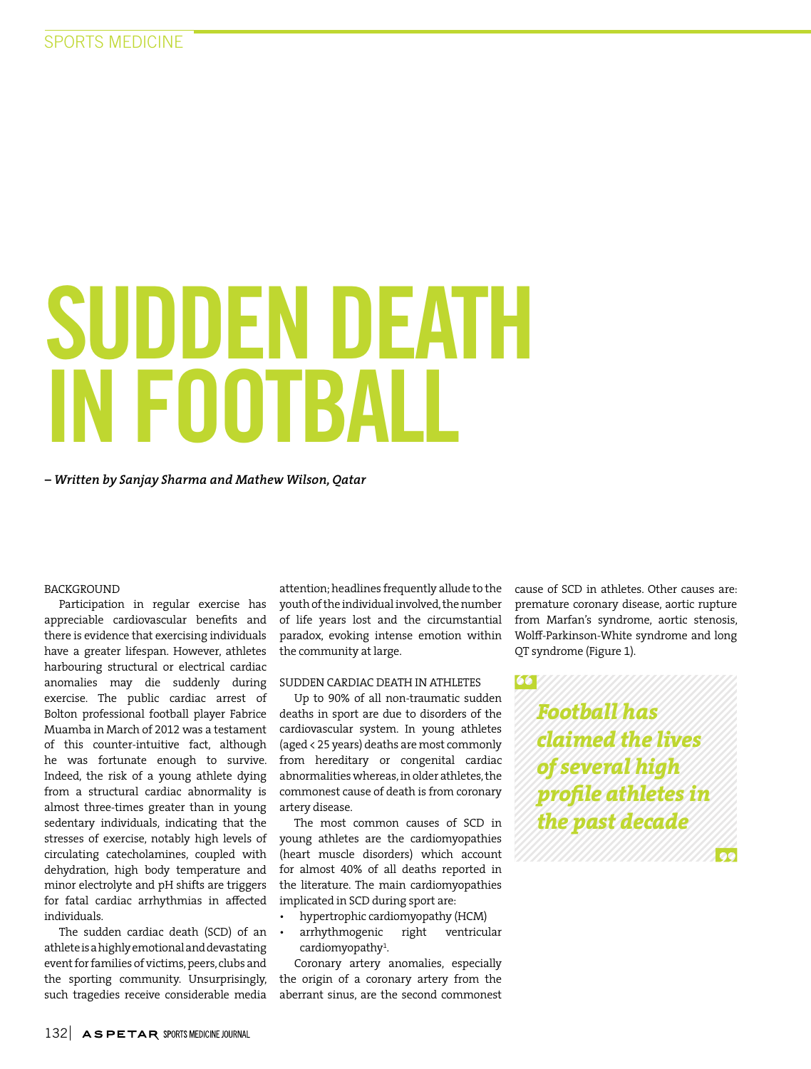# SUDDEN DEATH IN FOOTBALL

*– Written by Sanjay Sharma and Mathew Wilson, Qatar*

#### BACKGROUND

Participation in regular exercise has appreciable cardiovascular benefits and there is evidence that exercising individuals have a greater lifespan. However, athletes harbouring structural or electrical cardiac anomalies may die suddenly during exercise. The public cardiac arrest of Bolton professional football player Fabrice Muamba in March of 2012 was a testament of this counter-intuitive fact, although he was fortunate enough to survive. Indeed, the risk of a young athlete dying from a structural cardiac abnormality is almost three-times greater than in young sedentary individuals, indicating that the stresses of exercise, notably high levels of circulating catecholamines, coupled with dehydration, high body temperature and minor electrolyte and pH shifts are triggers for fatal cardiac arrhythmias in affected individuals.

The sudden cardiac death (SCD) of an athlete is a highly emotional and devastating event for families of victims, peers, clubs and the sporting community. Unsurprisingly, such tragedies receive considerable media

attention; headlines frequently allude to the youth of the individual involved, the number of life years lost and the circumstantial paradox, evoking intense emotion within the community at large.

#### SUDDEN CARDIAC DEATH IN ATHLETES

Up to 90% of all non-traumatic sudden deaths in sport are due to disorders of the cardiovascular system. In young athletes (aged < 25 years) deaths are most commonly from hereditary or congenital cardiac abnormalities whereas, in older athletes, the commonest cause of death is from coronary artery disease.

The most common causes of SCD in young athletes are the cardiomyopathies (heart muscle disorders) which account for almost 40% of all deaths reported in the literature. The main cardiomyopathies implicated in SCD during sport are:

- hypertrophic cardiomyopathy (HCM)
- arrhythmogenic right ventricular cardiomyopathy<sup>1</sup>.

Coronary artery anomalies, especially the origin of a coronary artery from the aberrant sinus, are the second commonest

cause of SCD in athletes. Other causes are: premature coronary disease, aortic rupture from Marfan's syndrome, aortic stenosis, Wolff-Parkinson-White syndrome and long QT syndrome (Figure 1).

*Football has claimed the lives of several high profile athletes in the past decade*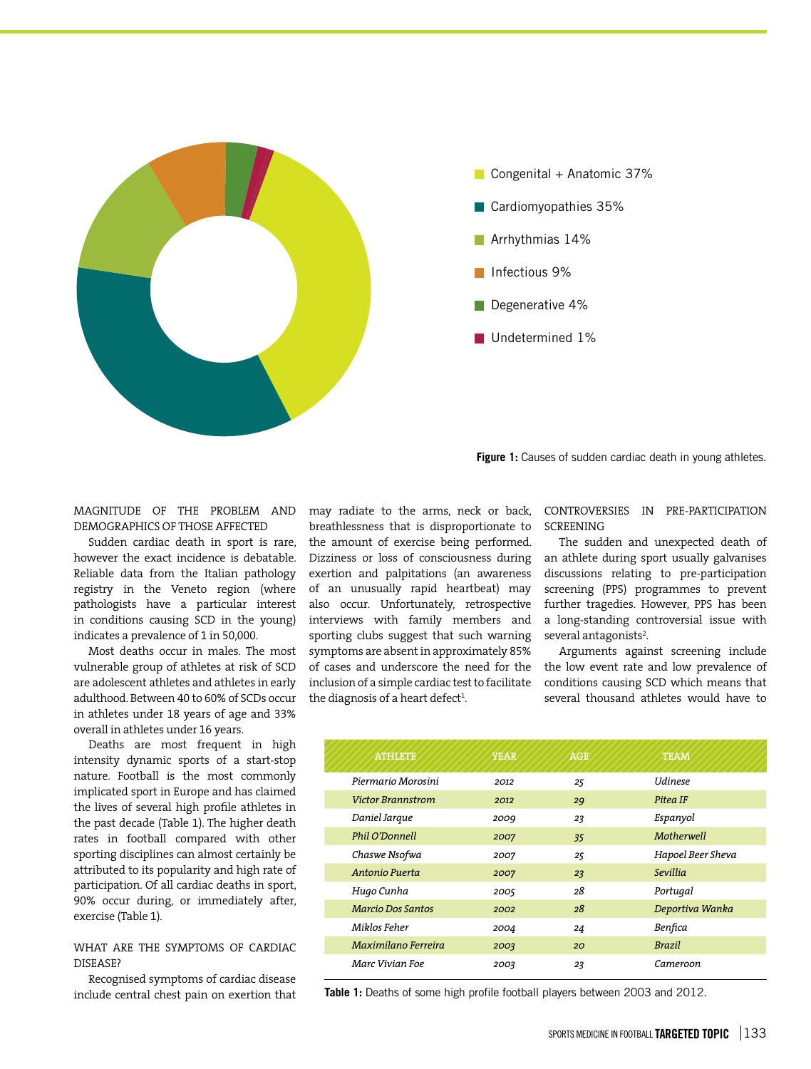

Figure 1: Causes of sudden cardiac death in young athletes.

MAGNITUDE OF THE PROBLEM AND DEMOGRAPHICS OF THOSE AFFECTED

Sudden cardiac death in sport is rare, however the exact incidence is debatable. Reliable data from the Italian pathology registry in the Veneto region (where pathologists have a particular interest in conditions causing SCD in the young) indicates a prevalence of 1 in 50,000.

Most deaths occur in males. The most vulnerable group of athletes at risk of SCD are adolescent athletes and athletes in early adulthood. Between 40 to 60% of SCDs occur in athletes under 18 years of age and 33% overall in athletes under 16 years.

Deaths are most frequent in high intensity dynamic sports of a start-stop nature. Football is the most commonly implicated sport in Europe and has claimed the lives of several high profile athletes in the past decade (Table 1). The higher death rates in football compared with other sporting disciplines can almost certainly be attributed to its popularity and high rate of participation. Of all cardiac deaths in sport, 90% occur during, or immediately after, exercise (Table 1).

#### WHAT ARE THE SYMPTOMS OF CARDIAC DISEASE?

Recognised symptoms of cardiac disease include central chest pain on exertion that may radiate to the arms, neck or back, breathlessness that is disproportionate to the amount of exercise being performed. Dizziness or loss of consciousness during exertion and palpitations (an awareness of an unusually rapid heartbeat) may also occur. Unfortunately, retrospective interviews with family members and sporting clubs suggest that such warning symptoms are absent in approximately 85% of cases and underscore the need for the inclusion of a simple cardiac test to facilitate the diagnosis of a heart defect $^{\rm 1}$ .

#### CONTROVERSIES IN PRE-PARTICIPATION **SCREENING**

The sudden and unexpected death of an athlete during sport usually galvanises discussions relating to pre-participation screening (PPS) programmes to prevent further tragedies. However, PPS has been a long-standing controversial issue with several antagonists<sup>2</sup>.

Arguments against screening include the low event rate and low prevalence of conditions causing SCD which means that several thousand athletes would have to

| <b>ATHLETE</b>           | <b>YEAR</b> | <b>AGE</b> | <b>TEAM</b>       |
|--------------------------|-------------|------------|-------------------|
| Piermario Morosini       | 2012        | 25         | <b>Udinese</b>    |
| <b>Victor Brannstrom</b> | 2012        | 29         | Pitea IF          |
| Daniel Jarque            | 2009        | 23         | Espanyol          |
| Phil O'Donnell           | 2007        | 35         | Motherwell        |
| Chaswe Nsofwa            | 2007        | 25         | Hapoel Beer Sheva |
| Antonio Puerta           | 2007        | 23         | Sevillia          |
| Hugo Cunha               | 2005        | 28         | Portugal          |
| <b>Marcio Dos Santos</b> | 2002        | 28         | Deportiva Wanka   |
| Miklos Feher             | 2004        | 24         | Benfica           |
| Maximilano Ferreira      | 2003        | 20         | <b>Brazil</b>     |
| Marc Vivian Foe          | 2003        | 23         | Cameroon          |

**Table 1:** Deaths of some high profile football players between 2003 and 2012.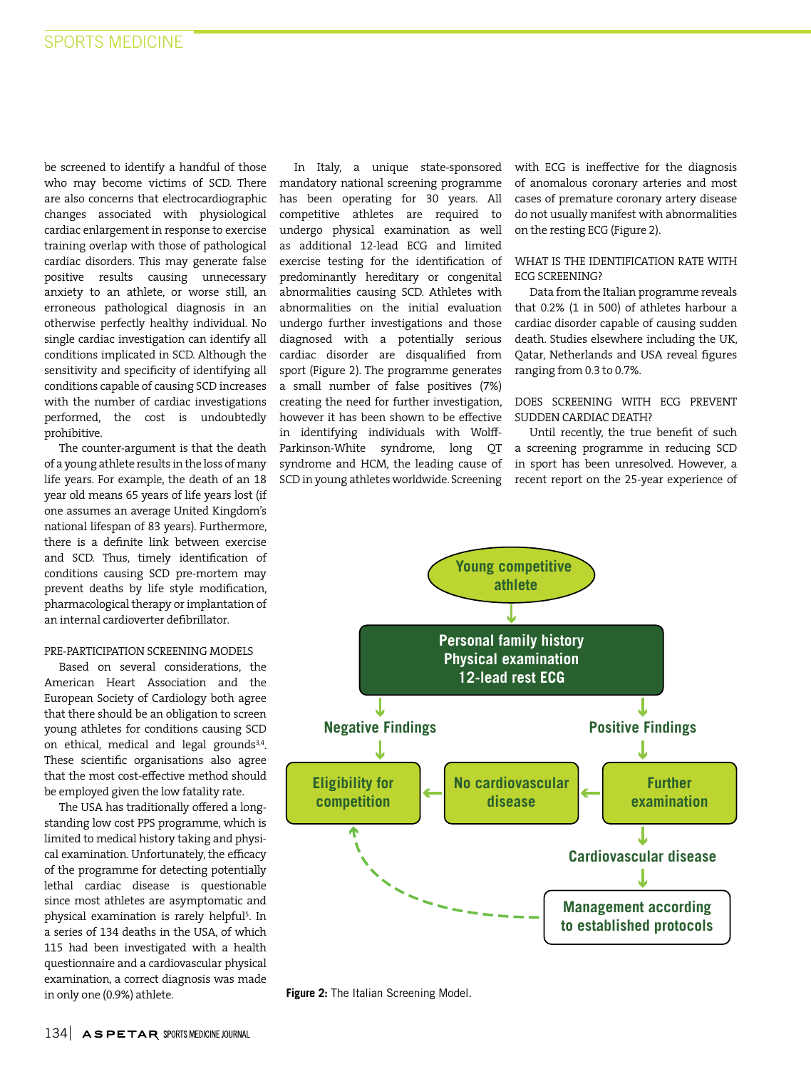be screened to identify a handful of those who may become victims of SCD. There are also concerns that electrocardiographic changes associated with physiological cardiac enlargement in response to exercise training overlap with those of pathological cardiac disorders. This may generate false positive results causing unnecessary anxiety to an athlete, or worse still, an erroneous pathological diagnosis in an otherwise perfectly healthy individual. No single cardiac investigation can identify all conditions implicated in SCD. Although the sensitivity and specificity of identifying all conditions capable of causing SCD increases with the number of cardiac investigations performed, the cost is undoubtedly prohibitive.

The counter-argument is that the death of a young athlete results in the loss of many life years. For example, the death of an 18 year old means 65 years of life years lost (if one assumes an average United Kingdom's national lifespan of 83 years). Furthermore, there is a definite link between exercise and SCD. Thus, timely identification of conditions causing SCD pre-mortem may prevent deaths by life style modification, pharmacological therapy or implantation of an internal cardioverter defibrillator.

# PRE-PARTICIPATION SCREENING MODELS

Based on several considerations, the American Heart Association and the European Society of Cardiology both agree that there should be an obligation to screen young athletes for conditions causing SCD on ethical, medical and legal grounds<sup>3,4</sup>. These scientific organisations also agree that the most cost-effective method should be employed given the low fatality rate.

The USA has traditionally offered a longstanding low cost PPS programme, which is limited to medical history taking and physical examination. Unfortunately, the efficacy of the programme for detecting potentially lethal cardiac disease is questionable since most athletes are asymptomatic and physical examination is rarely helpful<sup>5</sup>. In a series of 134 deaths in the USA, of which 115 had been investigated with a health questionnaire and a cardiovascular physical examination, a correct diagnosis was made in only one (0.9%) athlete.

In Italy, a unique state-sponsored mandatory national screening programme has been operating for 30 years. All competitive athletes are required to undergo physical examination as well as additional 12-lead ECG and limited exercise testing for the identification of predominantly hereditary or congenital abnormalities causing SCD. Athletes with abnormalities on the initial evaluation undergo further investigations and those diagnosed with a potentially serious cardiac disorder are disqualified from sport (Figure 2). The programme generates a small number of false positives (7%) creating the need for further investigation, however it has been shown to be effective in identifying individuals with Wolff-Parkinson-White syndrome, long QT syndrome and HCM, the leading cause of SCD in young athletes worldwide. Screening

with ECG is ineffective for the diagnosis of anomalous coronary arteries and most cases of premature coronary artery disease do not usually manifest with abnormalities on the resting ECG (Figure 2).

### WHAT IS THE IDENTIFICATION RATE WITH ECG SCREENING?

Data from the Italian programme reveals that 0.2% (1 in 500) of athletes harbour a cardiac disorder capable of causing sudden death. Studies elsewhere including the UK, Qatar, Netherlands and USA reveal figures ranging from 0.3 to 0.7%.

#### DOES SCREENING WITH ECG PREVENT SUDDEN CARDIAC DEATH?

Until recently, the true benefit of such a screening programme in reducing SCD in sport has been unresolved. However, a recent report on the 25-year experience of



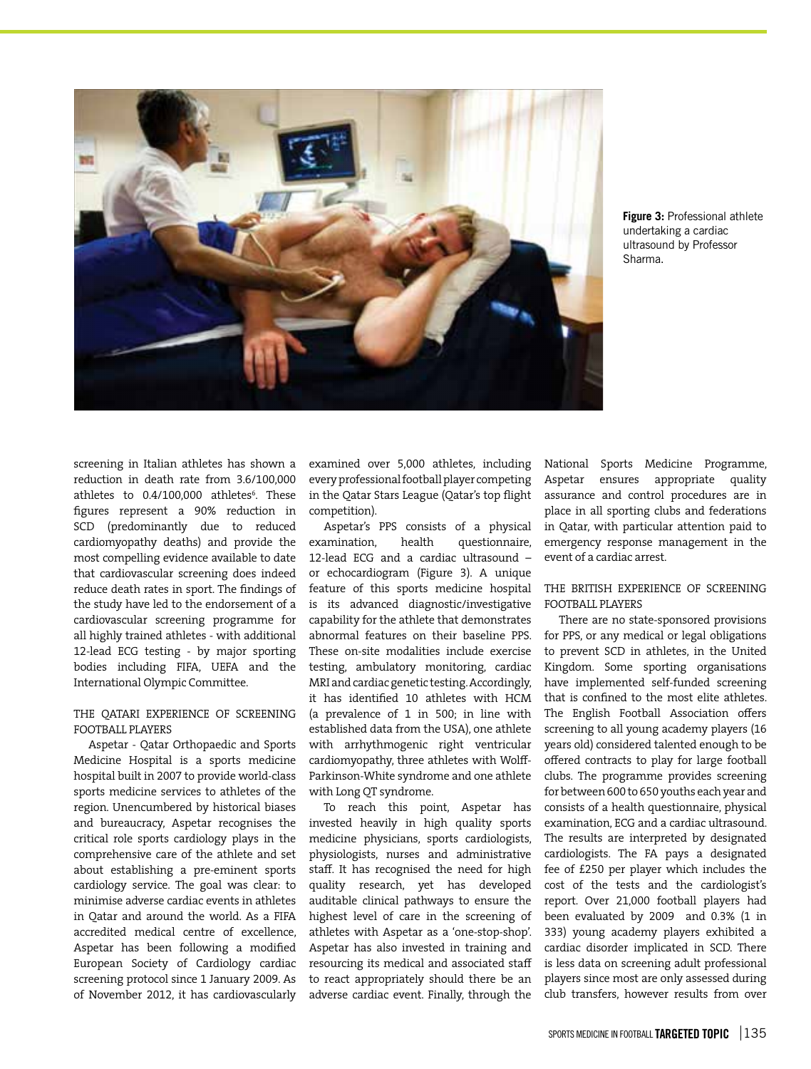

**Figure 3:** Professional athlete undertaking a cardiac ultrasound by Professor Sharma.

screening in Italian athletes has shown a reduction in death rate from 3.6/100,000 athletes to 0.4/100,000 athletes<sup>6</sup>. These figures represent a 90% reduction in SCD (predominantly due to reduced cardiomyopathy deaths) and provide the most compelling evidence available to date that cardiovascular screening does indeed reduce death rates in sport. The findings of the study have led to the endorsement of a cardiovascular screening programme for all highly trained athletes - with additional 12-lead ECG testing - by major sporting bodies including FIFA, UEFA and the International Olympic Committee.

## THE QATARI EXPERIENCE OF SCREENING FOOTBALL PLAYERS

Aspetar - Qatar Orthopaedic and Sports Medicine Hospital is a sports medicine hospital built in 2007 to provide world-class sports medicine services to athletes of the region. Unencumbered by historical biases and bureaucracy, Aspetar recognises the critical role sports cardiology plays in the comprehensive care of the athlete and set about establishing a pre-eminent sports cardiology service. The goal was clear: to minimise adverse cardiac events in athletes in Qatar and around the world. As a FIFA accredited medical centre of excellence, Aspetar has been following a modified European Society of Cardiology cardiac screening protocol since 1 January 2009. As of November 2012, it has cardiovascularly

examined over 5,000 athletes, including every professional football player competing in the Qatar Stars League (Qatar's top flight competition).

Aspetar's PPS consists of a physical examination, health questionnaire, 12-lead ECG and a cardiac ultrasound – or echocardiogram (Figure 3). A unique feature of this sports medicine hospital is its advanced diagnostic/investigative capability for the athlete that demonstrates abnormal features on their baseline PPS. These on-site modalities include exercise testing, ambulatory monitoring, cardiac MRI and cardiac genetic testing. Accordingly, it has identified 10 athletes with HCM (a prevalence of 1 in 500; in line with established data from the USA), one athlete with arrhythmogenic right ventricular cardiomyopathy, three athletes with Wolff-Parkinson-White syndrome and one athlete with Long QT syndrome.

To reach this point, Aspetar has invested heavily in high quality sports medicine physicians, sports cardiologists, physiologists, nurses and administrative staff. It has recognised the need for high quality research, yet has developed auditable clinical pathways to ensure the highest level of care in the screening of athletes with Aspetar as a 'one-stop-shop'. Aspetar has also invested in training and resourcing its medical and associated staff to react appropriately should there be an adverse cardiac event. Finally, through the

National Sports Medicine Programme, Aspetar ensures appropriate quality assurance and control procedures are in place in all sporting clubs and federations in Qatar, with particular attention paid to emergency response management in the event of a cardiac arrest.

### THE BRITISH EXPERIENCE OF SCREENING FOOTBALL PLAYERS

There are no state-sponsored provisions for PPS, or any medical or legal obligations to prevent SCD in athletes, in the United Kingdom. Some sporting organisations have implemented self-funded screening that is confined to the most elite athletes. The English Football Association offers screening to all young academy players (16 years old) considered talented enough to be offered contracts to play for large football clubs. The programme provides screening for between 600 to 650 youths each year and consists of a health questionnaire, physical examination, ECG and a cardiac ultrasound. The results are interpreted by designated cardiologists. The FA pays a designated fee of £250 per player which includes the cost of the tests and the cardiologist's report. Over 21,000 football players had been evaluated by 2009 and 0.3% (1 in 333) young academy players exhibited a cardiac disorder implicated in SCD. There is less data on screening adult professional players since most are only assessed during club transfers, however results from over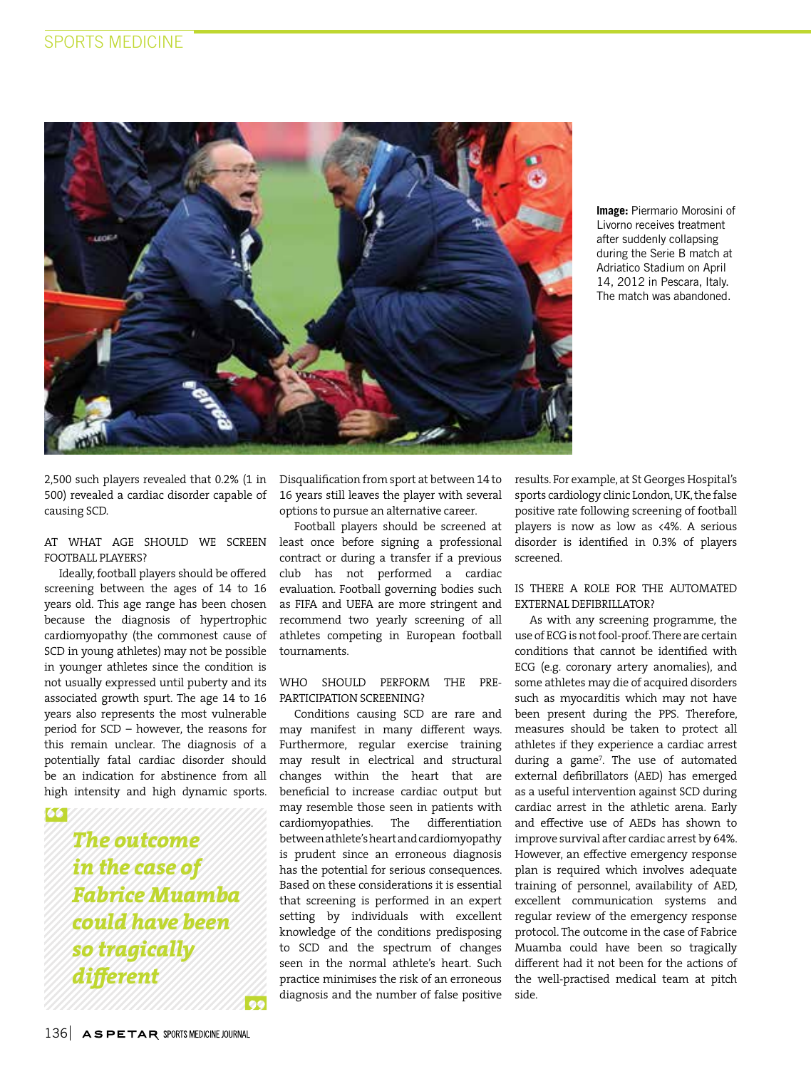

**Image:** Piermario Morosini of Livorno receives treatment after suddenly collapsing during the Serie B match at Adriatico Stadium on April 14, 2012 in Pescara, Italy. The match was abandoned.

2,500 such players revealed that 0.2% (1 in 500) revealed a cardiac disorder capable of causing SCD.

### AT WHAT AGE SHOULD WE SCREEN FOOTBALL PLAYERS?

Ideally, football players should be offered screening between the ages of 14 to 16 years old. This age range has been chosen because the diagnosis of hypertrophic cardiomyopathy (the commonest cause of SCD in young athletes) may not be possible in younger athletes since the condition is not usually expressed until puberty and its associated growth spurt. The age 14 to 16 years also represents the most vulnerable period for SCD – however, the reasons for this remain unclear. The diagnosis of a potentially fatal cardiac disorder should be an indication for abstinence from all high intensity and high dynamic sports.

66

*The outcome in the case of Fabrice Muamba could have been so tragically different*

Disqualification from sport at between 14 to 16 years still leaves the player with several options to pursue an alternative career.

Football players should be screened at least once before signing a professional contract or during a transfer if a previous club has not performed a cardiac evaluation. Football governing bodies such as FIFA and UEFA are more stringent and recommend two yearly screening of all athletes competing in European football tournaments.

## WHO SHOULD PERFORM THE PRE-PARTICIPATION SCREENING?

Conditions causing SCD are rare and may manifest in many different ways. Furthermore, regular exercise training may result in electrical and structural changes within the heart that are beneficial to increase cardiac output but may resemble those seen in patients with cardiomyopathies. The differentiation between athlete's heart and cardiomyopathy is prudent since an erroneous diagnosis has the potential for serious consequences. Based on these considerations it is essential that screening is performed in an expert setting by individuals with excellent knowledge of the conditions predisposing to SCD and the spectrum of changes seen in the normal athlete's heart. Such practice minimises the risk of an erroneous diagnosis and the number of false positive

results. For example, at St Georges Hospital's sports cardiology clinic London, UK, the false positive rate following screening of football players is now as low as <4%. A serious disorder is identified in 0.3% of players screened.

## IS THERE A ROLE FOR THE AUTOMATED EXTERNAL DEFIBRILLATOR?

As with any screening programme, the use of ECG is not fool-proof. There are certain conditions that cannot be identified with ECG (e.g. coronary artery anomalies), and some athletes may die of acquired disorders such as myocarditis which may not have been present during the PPS. Therefore, measures should be taken to protect all athletes if they experience a cardiac arrest during a game<sup>7</sup> . The use of automated external defibrillators (AED) has emerged as a useful intervention against SCD during cardiac arrest in the athletic arena. Early and effective use of AEDs has shown to improve survival after cardiac arrest by 64%. However, an effective emergency response plan is required which involves adequate training of personnel, availability of AED, excellent communication systems and regular review of the emergency response protocol. The outcome in the case of Fabrice Muamba could have been so tragically different had it not been for the actions of the well-practised medical team at pitch side.